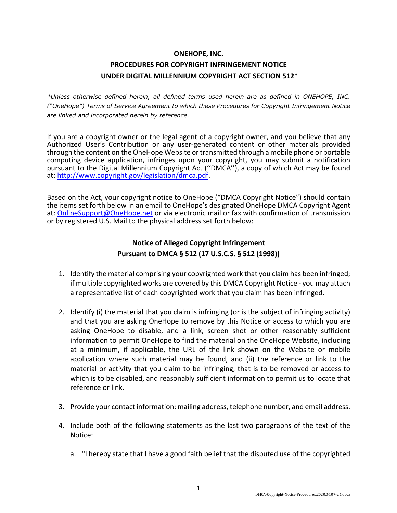### **ONEHOPE, INC.**

# **PROCEDURES FOR COPYRIGHT INFRINGEMENT NOTICE UNDER DIGITAL MILLENNIUM COPYRIGHT ACT SECTION 512\***

*\*Unless otherwise defined herein, all defined terms used herein are as defined in ONEHOPE, INC. ("OneHope") Terms of Service Agreement to which these Procedures for Copyright Infringement Notice are linked and incorporated herein by reference.*

If you are a copyright owner or the legal agent of a copyright owner, and you believe that any Authorized User's Contribution or any user-generated content or other materials provided through the content on the OneHope Website or transmitted through a mobile phone or portable computing device application, infringes upon your copyright, you may submit a notification pursuant to the Digital Millennium Copyright Act (''DMCA''), a copy of which Act may be found at: http://www.copyright.gov/legislation/dmca.pdf.

Based on the Act, your copyright notice to OneHope ("DMCA Copyright Notice") should contain the items set forth below in an email to OneHope's designated OneHope DMCA Copyright Agent at: OnlineSupport@OneHope.net or via electronic mail or fax with confirmation of transmission or by registered U.S. Mail to the physical address set forth below:

## **Notice of Alleged Copyright Infringement Pursuant to DMCA § 512 (17 U.S.C.S. § 512 (1998))**

- 1. Identify the material comprising your copyrighted work that you claim has been infringed; if multiple copyrighted works are covered by this DMCA Copyright Notice - you may attach a representative list of each copyrighted work that you claim has been infringed.
- 2. Identify (i) the material that you claim is infringing (or is the subject of infringing activity) and that you are asking OneHope to remove by this Notice or access to which you are asking OneHope to disable, and a link, screen shot or other reasonably sufficient information to permit OneHope to find the material on the OneHope Website, including at a minimum, if applicable, the URL of the link shown on the Website or mobile application where such material may be found, and (ii) the reference or link to the material or activity that you claim to be infringing, that is to be removed or access to which is to be disabled, and reasonably sufficient information to permit us to locate that reference or link.
- 3. Provide your contact information: mailing address, telephone number, and email address.
- 4. Include both of the following statements as the last two paragraphs of the text of the Notice:
	- a. "I hereby state that I have a good faith belief that the disputed use of the copyrighted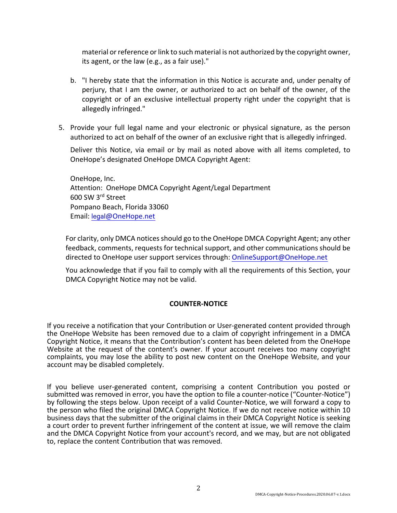material or reference or link to such material is not authorized by the copyright owner, its agent, or the law (e.g., as a fair use)."

- b. "I hereby state that the information in this Notice is accurate and, under penalty of perjury, that I am the owner, or authorized to act on behalf of the owner, of the copyright or of an exclusive intellectual property right under the copyright that is allegedly infringed."
- 5. Provide your full legal name and your electronic or physical signature, as the person authorized to act on behalf of the owner of an exclusive right that is allegedly infringed.

Deliver this Notice, via email or by mail as noted above with all items completed, to OneHope's designated OneHope DMCA Copyright Agent:

OneHope, Inc. Attention: OneHope DMCA Copyright Agent/Legal Department 600 SW 3rd Street Pompano Beach, Florida 33060 Email: legal@OneHope.net

For clarity, only DMCA notices should go to the OneHope DMCA Copyright Agent; any other feedback, comments, requests for technical support, and other communications should be directed to OneHope user support services through: OnlineSupport@OneHope.net

You acknowledge that if you fail to comply with all the requirements of this Section, your DMCA Copyright Notice may not be valid.

### **COUNTER-NOTICE**

If you receive a notification that your Contribution or User-generated content provided through the OneHope Website has been removed due to a claim of copyright infringement in a DMCA Copyright Notice, it means that the Contribution's content has been deleted from the OneHope Website at the request of the content's owner. If your account receives too many copyright complaints, you may lose the ability to post new content on the OneHope Website, and your account may be disabled completely.

If you believe user-generated content, comprising a content Contribution you posted or submitted was removed in error, you have the option to file a counter-notice ("Counter-Notice") by following the steps below. Upon receipt of a valid Counter-Notice, we will forward a copy to the person who filed the original DMCA Copyright Notice. If we do not receive notice within 10 business days that the submitter of the original claims in their DMCA Copyright Notice is seeking a court order to prevent further infringement of the content at issue, we will remove the claim and the DMCA Copyright Notice from your account's record, and we may, but are not obligated to, replace the content Contribution that was removed.